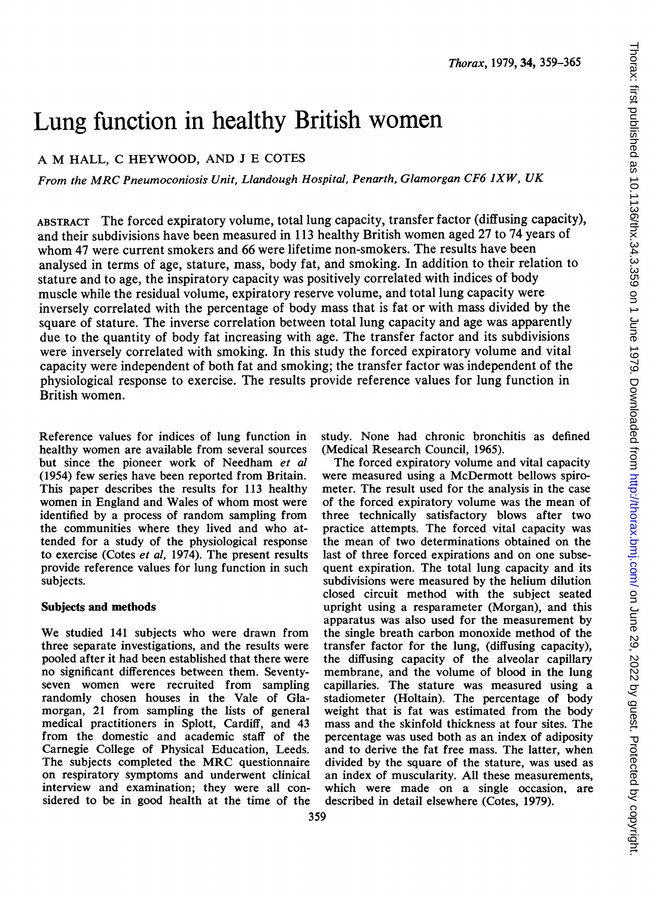# Lung function in healthy British women

# A M HALL, C HEYWOOD, AND <sup>J</sup> E COTES

From the MRC Pneumoconiosis Unit, Llandough Hospital, Penarth, Glamorgan CF6 IXW, UK

ABSTRACT The forced expiratory volume, total lung capacity, transfer factor (diffusing capacity), and their subdivisions have been measured in 113 healthy British women aged 27 to 74 years of whom 47 were current smokers and 66 were lifetime non-smokers. The results have been analysed in terms of age, stature, mass, body fat, and smoking. In addition to their relation to stature and to age, the inspiratory capacity was positively correlated with indices of body muscle while the residual volume, expiratory reserve volume, and total lung capacity were inversely correlated with the percentage of body mass that is fat or with mass divided by the square of stature. The inverse correlation between total lung capacity and age was apparently due to the quantity of body fat increasing with age. The transfer factor and its subdivisions were inversely correlated with smoking. In this study the forced expiratory volume and vital capacity were independent of both fat and smoking; the transfer factor was independent of the physiological response to exercise. The results provide reference values for lung function in British women.

Reference values for indices of lung function in healthy women are available from several sources but since the pioneer work of Needham et al (1954) few series have been reported from Britain. This paper describes the results for 113 healthy women in England and Wales of whom most were identified by a process of random sampling from the communities where they lived and who attended for a study of the physiological response to exercise (Cotes et al, 1974). The present results provide reference values for lung function in such subjects.

# Subjects and methods

We studied <sup>141</sup> subjects who were drawn from three separate investigations, and the results were pooled after it had been established that there were no significant differences between them. Seventyseven women were recruited from sampling randomly chosen houses in the Vale of Glamorgan, 21 from sampling the lists of general medical practitioners in Splott, Cardiff, and 43 from the domestic and academic staff of the Carnegie College of Physical Education, Leeds. The subjects completed the MRC questionnaire on respiratory symptoms and underwent clinical interview and examination; they were all considered to be in good health at the time of the

study. None had chronic bronchitis as defined (Medical Research Council, 1965).

The forced expiratory volume and vital capacity were measured using a McDermott bellows spirometer. The result used for the analysis in the case of the forced expiratory volume was the mean of three technically satisfactory blows after two practice attempts. The forced vital capacity was the mean of two determinations obtained on the last of three forced expirations and on one subsequent expiration. The total lung capacity and its subdivisions were measured by the helium dilution closed circuit method with the subject seated upright using a resparameter (Morgan), and this apparatus was also used for the measurement by the single breath carbon monoxide method of the transfer factor for the lung, (diffusing capacity), the diffusing capacity of the alveolar capillary membrane, and the volume of blood in the lung capillaries. The stature was measured using a stadiometer (Holtain). The percentage of body weight that is fat was estimated from the body mass and the skinfold thickness at four sites. The percentage was used both as an index of adiposity and to derive the fat free mass. The latter, when divided by the square of the stature, was used as an index of muscularity. All these measurements, which were made on a single occasion, are described in detail elsewhere (Cotes, 1979).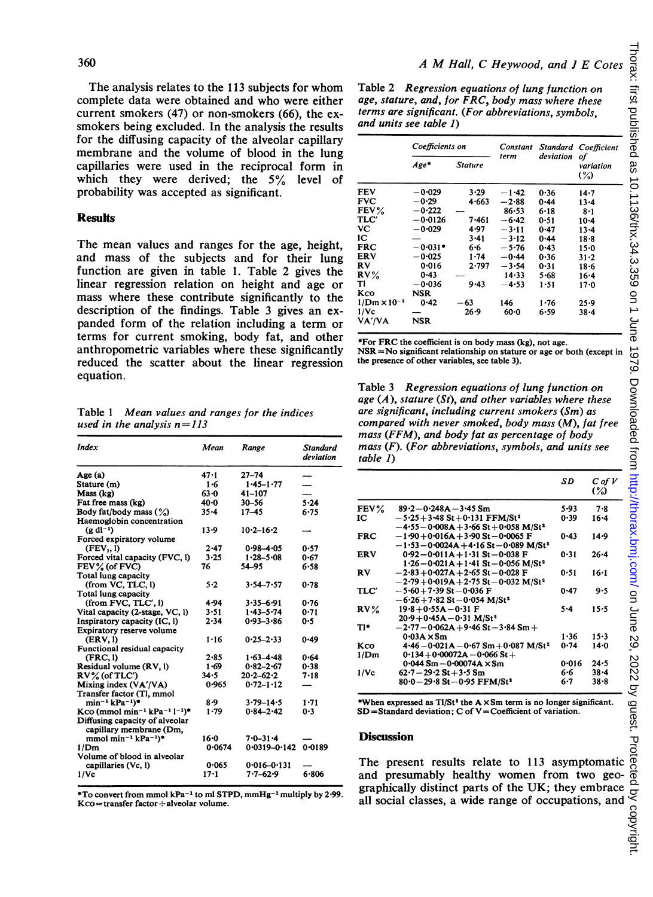The analysis relates to the <sup>113</sup> subjects for whom complete data were obtained and who were either current smokers (47) or non-smokers (66), the exsmokers being excluded. In the analysis the results for the diffusing capacity of the alveolar capillary membrane and the volume of blood in the lung capillaries were used in the reciprocal form in which they were derived; the 5% level of probability was accepted as significant.

#### **Results**

The mean values and ranges for the age, height, and mass of the subjects and for their lung function are given in table 1. Table 2 gives the linear regression relation on height and age or mass where these contribute significantly to the description of the findings. Table 3 gives an expanded form of the relation including a term or terms for current smoking, body fat, and other anthropometric variables where these significantly reduced the scatter about the linear regression equation.

Table <sup>1</sup> Mean values and ranges for the indices used in the analysis  $n=113$ 

| <b>Index</b>                                                                                             | Mean     | Range            | <b>Standard</b><br>deviation |
|----------------------------------------------------------------------------------------------------------|----------|------------------|------------------------------|
| Age (a)                                                                                                  | 47.1     | 27–74            |                              |
| Stature (m)                                                                                              | 1.6      | $1.45 - 1.77$    |                              |
| Mass (kg)                                                                                                | $63 - 0$ | $41 - 107$       |                              |
| Fat free mass (kg)                                                                                       | $40 - 0$ | $30 - 56$        | $5 - 24$                     |
| Body fat/body mass $(\%)$                                                                                | $35 - 4$ | $17 - 45$        | $6 - 75$                     |
| Haemoglobin concentration                                                                                |          |                  |                              |
| $(g \, dl^{-1})$                                                                                         | 13.9     | $10.2 - 16.2$    |                              |
| Forced expiratory volume                                                                                 |          |                  |                              |
| (FEV <sub>1</sub> , 1)                                                                                   | 2.47     | $0.98 - 4.05$    | 0.57                         |
| Forced vital capacity (FVC, l)                                                                           | 3.25     | $1.28 - 5.08$    | 0.67                         |
| FEV% (of FVC)                                                                                            | 76       | 54-95            | $6 - 58$                     |
| Total lung capacity                                                                                      |          |                  |                              |
| (from VC, TLC, I)                                                                                        | 5.2      | $3.54 - 7.57$    | 0.78                         |
| Total lung capacity                                                                                      |          |                  |                              |
| (from FVC, TLC', l)                                                                                      | 4.94     | $3.35 - 6.91$    | 0.76                         |
| Vital capacity (2-stage, VC, 1)                                                                          | $3 - 51$ | $1.43 - 5.74$    | 0.71                         |
| Inspiratory capacity (IC, l)                                                                             | 2.34     | $0.93 - 3.86$    | 0.5                          |
| Expiratory reserve volume                                                                                |          |                  |                              |
| (ERV, I)                                                                                                 | 1.16     | $0.25 - 2.33$    | 0.49                         |
| Functional residual capacity                                                                             |          |                  |                              |
| (FRC, 1)                                                                                                 | 2.85     | $1.63 - 4.48$    | 0.64                         |
| Residual volume (RV, l)                                                                                  | $1 - 69$ | $0.82 - 2.67$    | 0.38                         |
| RV% (of TLC')                                                                                            | $34 - 5$ | $20.2 - 62.2$    | 7.18                         |
| Mixing index (VA'/VA)                                                                                    | 0.965    | $0.72 - 1.12$    |                              |
| Transfer factor (Tl, mmol                                                                                |          |                  |                              |
| min <sup>-1</sup> kPa <sup>-1</sup> )*                                                                   | 8.9      | $3.79 - 14.5$    | 1.71                         |
| Kco (mmol min <sup>-1</sup> kPa <sup>-1</sup> l <sup>-1</sup> )*                                         | 1.79     | $0.84 - 2.42$    | 0.3                          |
| Diffusing capacity of alveolar<br>capillary membrane (Dm,<br>mmol min <sup>-1</sup> kPa <sup>-1</sup> )* | 16.0     | $7 - 0 - 31 - 4$ |                              |
| 1/Dm                                                                                                     | 0.0674   | $0.0319 - 0.142$ | 0.0189                       |
| Volume of blood in alveolar                                                                              |          |                  |                              |
| capillaries (Vc, l)                                                                                      | 0.065    | $0.016 - 0.131$  |                              |
| 1/Vc                                                                                                     | $17 - 1$ | $7 - 7 - 62 - 9$ | $6 - 806$                    |

\*To convert from mmol kPa-' to ml STPD, mmHg-' multiply by 2-99.  $Kco = transfer factor \div alveolar volume.$ 

Table 2 Regression equations of lung function on age, stature, and, for FRC, body mass where these terms are significant. (For abbreviations, symbols, and units see table 1)

|                       | Coefficients on |                | Constant  |           | Standard Coefficient      |
|-----------------------|-----------------|----------------|-----------|-----------|---------------------------|
|                       | Age*            | <b>Stature</b> | term      | deviation | of<br>variation<br>$(\%)$ |
| FEV                   | $-0.029$        | 3.29           | $-1.42$   | 0.36      | 14.7                      |
| <b>FVC</b>            | $-0.29$         | 4.663          | $-2.88$   | $0 - 44$  | $13 - 4$                  |
| FEV%                  | $-0.222$        |                | $86 - 53$ | $6 - 18$  | $8 - 1$                   |
| TLC'                  | $-0.0126$       | 7•461          | $-6.42$   | 0.51      | $10 - 4$                  |
| VC                    | $-0.029$        | 4.97           | $-3.11$   | 0.47      | $13 - 4$                  |
| IC                    |                 | $3 - 41$       | $-3.12$   | 0.44      | 18-8                      |
| <b>FRC</b>            | $-0.031*$       | 6.6            | $-5.76$   | 0.43      | $15 - 0$                  |
| ERV                   | $-0.025$        | 1.74           | $-0.44$   | 0.36      | $31 - 2$                  |
| RV                    | 0.016           | 2.797          | -3.54     | 0.31      | $18 - 6$                  |
| $RV$ %                | 0.43            |                | $14 - 33$ | 5.68      | $16 - 4$                  |
| Tl                    | $-0.036$        | $9 - 43$       | $-4.53$   | 1.51      | 17.0                      |
| Kco                   | NSR             |                |           |           |                           |
| $1/Dm \times 10^{-3}$ | 0.42            | $-63$          | 146       | 1.76      | 25.9                      |
| 1/Vc                  |                 | 26.9           | $60 - 0$  | 6.59      | $38 - 4$                  |
| VA'/VA                | NSR             |                |           |           |                           |

\*For FRC the coefficient is on body mass (kg), not age.

NSR=No significant relationship on stature or age or both (except in the presence of other variables, see table 3).

Table <sup>3</sup> Regression equations of lung function on age  $(A)$ , stature  $(St)$ , and other variables where these are significant, including current smokers (Sm) as compared with never smoked, body mass (M), fat free mass (FFM), and body fat as percentage of body mass (F). (For abbreviations, symbols, and units see table 1)

|             |                                                                                                       | SD               | $C$ of $V$<br>$\frac{1}{2}$ |
|-------------|-------------------------------------------------------------------------------------------------------|------------------|-----------------------------|
| FEV%        | $89.2 - 0.248A - 3.45$ Sm                                                                             | 5.93             | $7 - 8$                     |
| IC          | $-5.25 + 3.48$ St + 0.131 FFM/St <sup>2</sup><br>$-4.55 - 0.008A + 3.66$ St + 0.058 M/St <sup>2</sup> | 0.39             | $16 - 4$                    |
| <b>FRC</b>  | $-1.90 + 0.016A + 3.90$ St $-0.0065$ F<br>$-1.53 - 0.0024A + 4.16$ St $-0.089$ M/St <sup>2</sup>      | $0 - 43$         | 14.9                        |
| ERV         | $0.92 - 0.011A + 1.31St - 0.038F$<br>$1.26 - 0.021A + 1.41$ St - 0.056 M/St <sup>2</sup>              | 0.31             | $26 - 4$                    |
| RV          | $-2.83 + 0.027A + 2.65$ St $-0.028$ F<br>$-2.79 + 0.019A + 2.75$ St $-0.032$ M/St <sup>2</sup>        | 0.51             | $16 - 1$                    |
| TLC'        | $-5.60 + 7.39$ St $-0.036$ F<br>$-6.26 + 7.82$ St $-0.054$ M/St <sup>2</sup>                          | 0.47             | 9.5                         |
| RV%         | $19.8 + 0.55A - 0.31F$<br>$20.9 + 0.45A - 0.31$ M/St <sup>2</sup>                                     | $5 - 4$          | $15 - 5$                    |
| TI*         | $-2.77 - 0.062A + 9.46$ St $-3.84$ Sm +<br>$0.03A \times Sm$                                          | 1.36             | $15 - 3$                    |
| Kco<br>1/Dm | $4.46 - 0.021A - 0.67$ Sm + 0.087 M/St <sup>2</sup><br>$0.134 + 0.00072A - 0.066$ St +                | 0.74             | 14.0                        |
| 1/Vc        | $0.044$ Sm $-0.00074A \times S$ m<br>$62 - 7 - 29 - 2$ St + 3.5 Sm                                    | $0 - 016$<br>6.6 | 24.5<br>$38 - 4$            |
|             | 80.0–29.8 St-0.95 FFM/St <sup>2</sup>                                                                 | 6.7              | $38 - 8$                    |

\*When expressed as Tl/St<sup>2</sup> the  $A \times Sm$  term is no longer significant.  $SD = Standard deviation$ ; C of  $V = Coefficient$  of variation.

# **Discussion**

The present results relate to 113 asymptomatic and presumably healthy women from two geographically distinct parts of the UK; they embrace all social classes, a wide range of occupations, and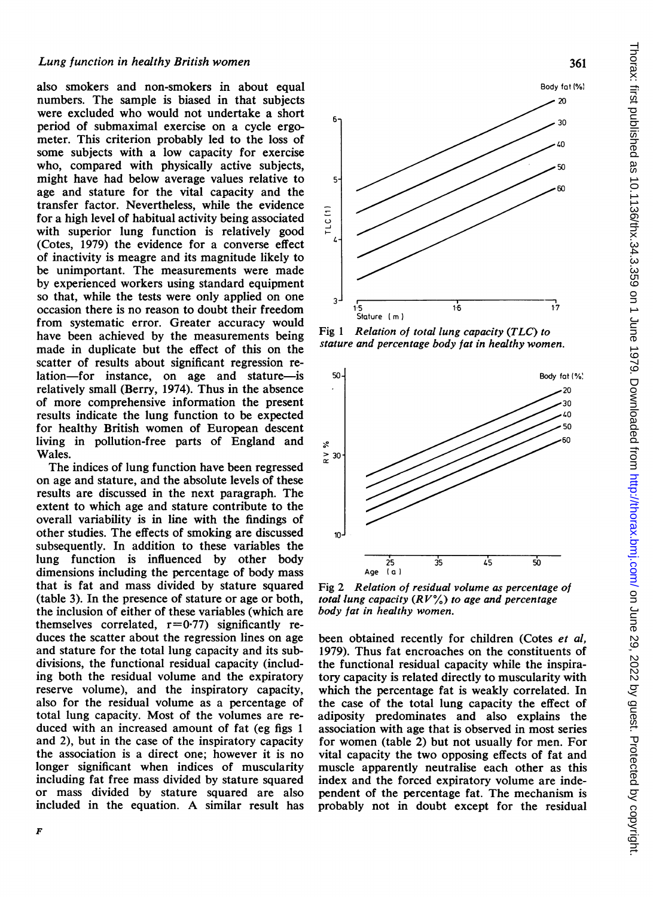# Lung function in healthy British women

also smokers and non-smokers in about equal numbers. The sample is biased in that subjects were excluded who would not undertake a short period of submaximal exercise on a cycle ergometer. This criterion probably led to the loss of some subjects with a low capacity for exercise who, compared with physically active subjects, might have had below average values relative to age and stature for the vital capacity and the transfer factor. Nevertheless, while the evidence for a high level of habitual activity being associated with superior lung function is relatively good (Cotes, 1979) the evidence for a converse effect of inactivity is meagre and its magnitude likely to be unimportant. The measurements were made by experienced workers using standard equipment so that, while the tests were only applied on one occasion there is no reason to doubt their freedom from systematic error. Greater accuracy would have been achieved by the measurements being made in duplicate but the effect of this on the scatter of results about significant regression relation-for instance, on age and stature-is relatively small (Berry, 1974). Thus in the absence of more comprehensive information the present results indicate the lung function to be expected for healthy British women of European descent living in pollution-free parts of England and Wales.

The indices of lung function have been regressed on age and stature, and the absolute levels of these results are discussed in the next paragraph. The extent to which age and stature contribute to the overall variability is in line with the findings of other studies. The effects of smoking are discussed subsequently. In addition to these variables the lung function is influenced by other body dimensions including the percentage of body mass that is fat and mass divided by stature squared (table 3). In the presence of stature or age or both, the inclusion of either of these variables (which are themselves correlated,  $r=0.77$ ) significantly reduces the scatter about the regression lines on age and stature for the total lung capacity and its subdivisions, the functional residual capacity (including both the residual volume and the expiratory reserve volume), and the inspiratory capacity, also for the residual volume as a percentage of total lung capacity. Most of the volumes are reduced with an increased amount of fat (eg figs 1 and 2), but in the case of the inspiratory capacity the association is a direct one; however it is no longer significant when indices of muscularity including fat free mass divided by stature squared or mass divided by stature squared are also included in the equation. A similar result has



Fig <sup>1</sup> Relation of total lung capacity (TLC) to stature and percentage body fat in healthy women.



Fig 2 Relation of residual volume as percentage of total lung capacity  $(RV)_{0}$  to age and percentage body fat in healthy women.

been obtained recently for children (Cotes et al. 1979). Thus fat encroaches on the constituents of the functional residual capacity while the inspiratory capacity is related directly to muscularity with which the percentage fat is weakly correlated. In the case of the total lung capacity the effect of adiposity predominates and also explains the association with age that is observed in most series for women (table 2) but not usually for men. For vital capacity the two opposing effects of fat and muscle apparently neutralise each other as this index and the forced expiratory volume are independent of the percentage fat. The mechanism is probably not in doubt except for the residual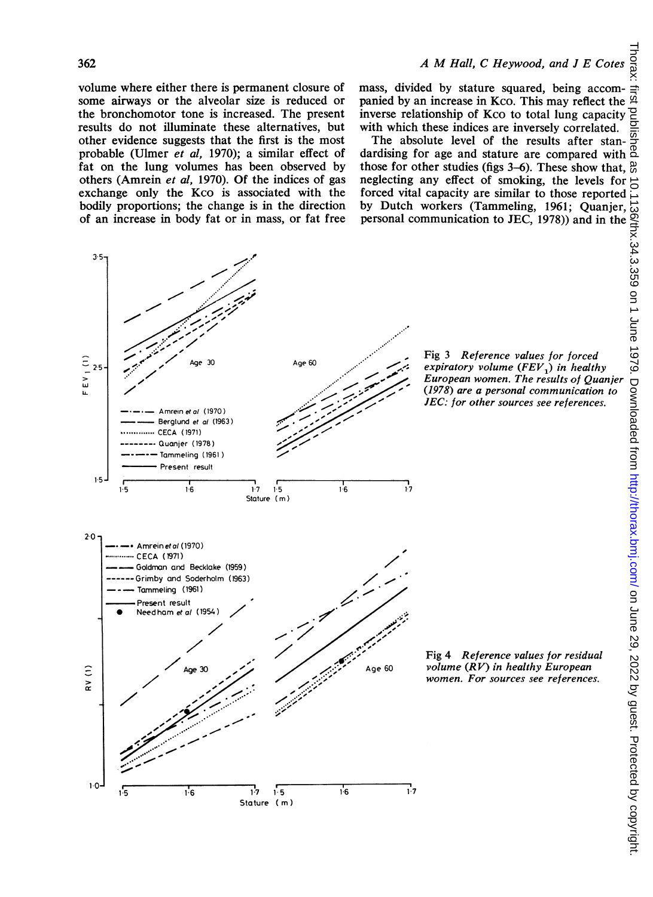volume where either there is permanent closure of some airways or the alveolar size is reduced or the bronchomotor tone is increased. The present results do not illuminate these alternatives, but other evidence suggests that the first is the most probable (Ulmer et al, 1970); a similar effect of fat on the lung volumes has been observed by others (Amrein et al, 1970). Of the indices of gas exchange only the Kco is associated with the bodily proportions; the change is in the direction of an increase in body fat or in mass, or fat free mass, divided by stature squared, being accompanied by an increase in Kco. This may reflect the inverse relationship of Kco to total lung capacity with which these indices are inversely correlated.

The absolute level of the results after standardising for age and stature are compared with those for other studies (figs 3–6). These show that,  $\frac{\omega}{6}$ neglecting any effect of smoking, the levels for  $\frac{1}{0}$ forced vital capacity are similar to those reported personal communication to JEC, 1978)) and in the





Fig 4 Reference values for residual  $Age 60$  volume  $(RV)$  in healthy European women. For sources see references.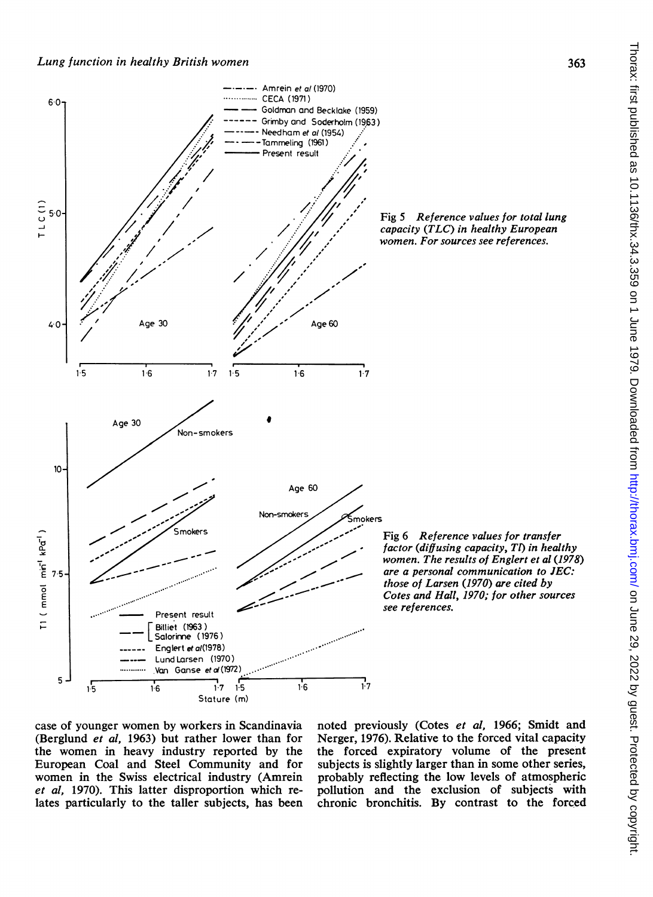

case of younger women by workers in Scandinavia (Berglund et al, 1963) but rather lower than for the women in heavy industry reported by the European Coal and Steel Community and for women in the Swiss electrical industry (Amrein et al, 1970). This latter disproportion which relates particularly to the taller subjects, has been

noted previously (Cotes et al, 1966; Smidt and Nerger, 1976). Relative to the forced vital capacity the forced expiratory volume of the present subjects is slightly larger than in some other series, probably reflecting the low levels of atmospheric pollution and the exclusion of subjects with chronic bronchitis. By contrast to the forced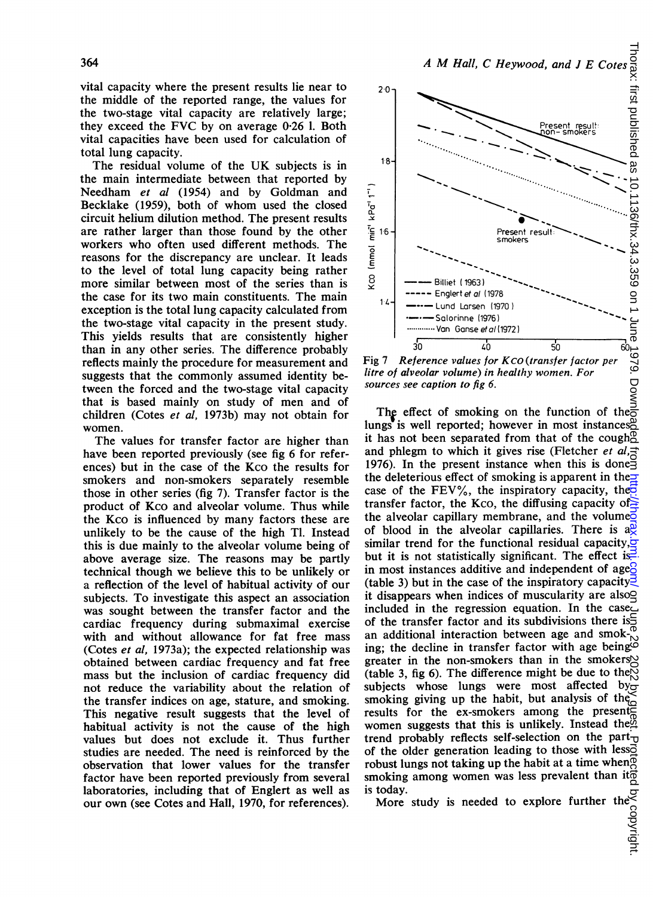vital capacity where the present results lie near to the middle of the reported range, the values for the two-stage vital capacity are relatively large; they exceed the FVC by on average 0-26 1. Both vital capacities have been used for calculation of total lung capacity.

The residual volume of the UK subjects is in the main intermediate between that reported by Needham et al (1954) and by Goldman and Becklake (1959), both of whom used the closed circuit helium dilution method. The present results are rather larger than those found by the other workers who often used different methods. The reasons for the discrepancy are unclear. It leads to the level of total lung capacity being rather more similar between most of the series than is the case for its two main constituents. The main exception is the total lung capacity calculated from the two-stage vital capacity in the present study. This yields results that are consistently higher than in any other series. The difference probably reflects mainly the procedure for measurement and suggests that the commonly assumed identity between the forced and the two-stage vital capacity that is based mainly on study of men and of children (Cotes et al, 1973b) may not obtain for women.

The values for transfer factor are higher than have been reported previously (see fig 6 for references) but in the case of the Kco the results for smokers and non-smokers separately resemble those in other series (fig 7). Transfer factor is the product of Kco and alveolar volume. Thus while the Kco is influenced by many factors these are unlikely to be the cause of the high Tl. Instead this is due mainly to the alveolar volume being of above average size. The reasons may be partly technical though we believe this to be unlikely or a reflection of the level of habitual activity of our subjects. To investigate this aspect an association was sought between the transfer factor and the cardiac frequency during submaximal exercise with and without allowance for fat free mass (Cotes et al, 1973a); the expected relationship was obtained between cardiac frequency and fat free mass but the inclusion of cardiac frequency did not reduce the variability about the relation of the transfer indices on age, stature, and smoking. This negative result suggests that the level of habitual activity is not the cause of the high values but does not exclude it. Thus further studies are needed. The need is reinforced by the observation that lower values for the transfer factor have been reported previously from several laboratories, including that of Englert as well as our own (see Cotes and Hall, 1970, for references).



40 60 Fig <sup>7</sup> Reference values for Kco (transfer factor per litre of alveolar volume) in healthy women. For sources see caption to fig 6.

The effect of smoking on the function of the lungs is well reported; however in most instances it has not been separated from that of the cough $\alpha$ and phlegm to which it gives rise (Fletcher et al,  $\frac{1}{6}$ ) 1976). In the present instance when this is done the deleterious effect of smoking is apparent in the $\overline{\phantom{a}}$ case of the FEV%, the inspiratory capacity, the transfer factor, the Kco, the diffusing capacity of  $\geq$ the alveolar capillary membrane, and the volumeo of blood in the alveolar capillaries. There is  $a_{\mathbf{S}}^{\mathbf{Q}}$ similar trend for the functional residual capacity, $\sigma$ but it is not statistically significant. The effect is  $\geq$ in most instances additive and independent of age<sup>2</sup> (table 3) but in the case of the inspiratory capacity. it disappears when indices of muscularity are also included in the regression equation. In the case of the transfer factor and its subdivisions there is. an additional interaction between age and smoking; the decline in transfer factor with age being greater in the non-smokers than in the smokers (table 3, fig 6). The difference might be due to the  $\breve{\otimes}$ subjects whose lungs were most affected by $\overline{\sigma}$ smoking giving up the habit, but analysis of the results for the ex-smokers among the present women suggests that this is unlikely. Instead the trend probably reflects self-selection on the part $_{\text{t}}$ of the older generation leading to those with less<sub> $\overline{5}$ </sub> robust lungs not taking up the habit at a time when  $\overline{9}$ smoking among women was less prevalent than it $\overrightarrow{\sigma}$ on By Guest. Http://thorax. Protected by copyright. Protected by the state by guest. Protected by copyright. Protected by copyright. June 1979. Downloaded from the state from 1 June 1979. Downloaded from 2002. Downloaded

is today. More study is needed to explore further the